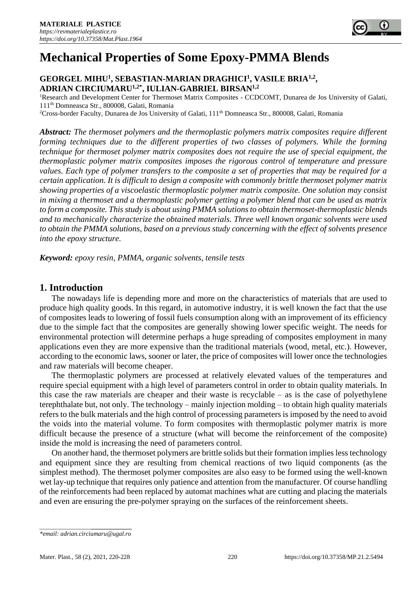

#### **GEORGEL MIHU<sup>1</sup> , SEBASTIAN-MARIAN DRAGHICI<sup>1</sup> , VASILE BRIA1,2 , ADRIAN CIRCIUMARU1,2\*, IULIAN-GABRIEL BIRSAN1,2**

<sup>1</sup>Research and Development Center for Thermoset Matrix Composites - CCDCOMT, Dunarea de Jos University of Galati, 111th Domneasca Str., 800008, Galati, Romania

<sup>2</sup>Cross-border Faculty, Dunarea de Jos University of Galati, 111<sup>th</sup> Domneasca Str., 800008, Galati, Romania

*Abstract: The thermoset polymers and the thermoplastic polymers matrix composites require different forming techniques due to the different properties of two classes of polymers. While the forming technique for thermoset polymer matrix composites does not require the use of special equipment, the thermoplastic polymer matrix composites imposes the rigorous control of temperature and pressure values. Each type of polymer transfers to the composite a set of properties that may be required for a certain application. It is difficult to design a composite with commonly brittle thermoset polymer matrix showing properties of a viscoelastic thermoplastic polymer matrix composite. One solution may consist in mixing a thermoset and a thermoplastic polymer getting a polymer blend that can be used as matrix to form a composite. This study is about using PMMA solutions to obtain thermoset-thermoplastic blends and to mechanically characterize the obtained materials. Three well known organic solvents were used to obtain the PMMA solutions, based on a previous study concerning with the effect of solvents presence into the epoxy structure.*

*Keyword: epoxy resin, PMMA, organic solvents, tensile tests*

#### **1. Introduction**

The nowadays life is depending more and more on the characteristics of materials that are used to produce high quality goods. In this regard, in automotive industry, it is well known the fact that the use of composites leads to lowering of fossil fuels consumption along with an improvement of its efficiency due to the simple fact that the composites are generally showing lower specific weight. The needs for environmental protection will determine perhaps a huge spreading of composites employment in many applications even they are more expensive than the traditional materials (wood, metal, etc.). However, according to the economic laws, sooner or later, the price of composites will lower once the technologies and raw materials will become cheaper.

The thermoplastic polymers are processed at relatively elevated values of the temperatures and require special equipment with a high level of parameters control in order to obtain quality materials. In this case the raw materials are cheaper and their waste is recyclable – as is the case of polyethylene terephthalate but, not only. The technology – mainly injection molding – to obtain high quality materials refers to the bulk materials and the high control of processing parameters is imposed by the need to avoid the voids into the material volume. To form composites with thermoplastic polymer matrix is more difficult because the presence of a structure (what will become the reinforcement of the composite) inside the mold is increasing the need of parameters control.

On another hand, the thermoset polymers are brittle solids but their formation implies less technology and equipment since they are resulting from chemical reactions of two liquid components (as the simplest method). The thermoset polymer composites are also easy to be formed using the well-known wet lay-up technique that requires only patience and attention from the manufacturer. Of course handling of the reinforcements had been replaced by automat machines what are cutting and placing the materials and even are ensuring the pre-polymer spraying on the surfaces of the reinforcement sheets.

*<sup>\*</sup>email: adrian.circiumaru@ugal.ro*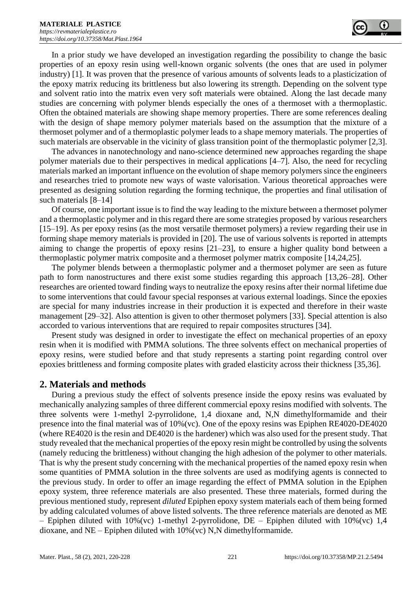In a prior study we have developed an investigation regarding the possibility to change the basic properties of an epoxy resin using well-known organic solvents (the ones that are used in polymer industry) [1]. It was proven that the presence of various amounts of solvents leads to a plasticization of the epoxy matrix reducing its brittleness but also lowering its strength. Depending on the solvent type and solvent ratio into the matrix even very soft materials were obtained. Along the last decade many studies are concerning with polymer blends especially the ones of a thermoset with a thermoplastic. Often the obtained materials are showing shape memory properties. There are some references dealing with the design of shape memory polymer materials based on the assumption that the mixture of a thermoset polymer and of a thermoplastic polymer leads to a shape memory materials. The properties of such materials are observable in the vicinity of glass transition point of the thermoplastic polymer [2,3].

The advances in nanotechnology and nano-science determined new approaches regarding the shape polymer materials due to their perspectives in medical applications [4–7]. Also, the need for recycling materials marked an important influence on the evolution of shape memory polymers since the engineers and researches tried to promote new ways of waste valorisation. Various theoretical approaches were presented as designing solution regarding the forming technique, the properties and final utilisation of such materials [8–14]

Of course, one important issue is to find the way leading to the mixture between a thermoset polymer and a thermoplastic polymer and in this regard there are some strategies proposed by various researchers [15–19]. As per epoxy resins (as the most versatile thermoset polymers) a review regarding their use in forming shape memory materials is provided in [20]. The use of various solvents is reported in attempts aiming to change the propertis of epoxy resins [21–23], to ensure a higher quality bond between a thermoplastic polymer matrix composite and a thermoset polymer matrix composite [14,24,25].

The polymer blends between a thermoplastic polymer and a thermoset polymer are seen as future path to form nanostructures and there exist some studies regarding this approach [13,26–28]. Other researches are oriented toward finding ways to neutralize the epoxy resins after their normal lifetime due to some interventions that could favour special responses at various external loadings. Since the epoxies are special for many industries increase in their production it is expected and therefore in their waste management [29–32]. Also attention is given to other thermoset polymers [33]. Special attention is also accorded to various interventions that are required to repair composites structures [34].

Present study was designed in order to investigate the effect on mechanical properties of an epoxy resin when it is modified with PMMA solutions. The three solvents effect on mechanical properties of epoxy resins, were studied before and that study represents a starting point regarding control over epoxies brittleness and forming composite plates with graded elasticity across their thickness [35,36].

# **2. Materials and methods**

During a previous study the effect of solvents presence inside the epoxy resins was evaluated by mechanically analyzing samples of three different commercial epoxy resins modified with solvents. The three solvents were 1-methyl 2-pyrrolidone, 1,4 dioxane and, N,N dimethylformamide and their presence into the final material was of 10%(vc). One of the epoxy resins was Epiphen RE4020-DE4020 (where RE4020 is the resin and DE4020 is the hardener) which was also used for the present study. That study revealed that the mechanical properties of the epoxy resin might be controlled by using the solvents (namely reducing the brittleness) without changing the high adhesion of the polymer to other materials. That is why the present study concerning with the mechanical properties of the named epoxy resin when some quantities of PMMA solution in the three solvents are used as modifying agents is connected to the previous study. In order to offer an image regarding the effect of PMMA solution in the Epiphen epoxy system, three reference materials are also presented. These three materials, formed during the previous mentioned study, represent *diluted* Epiphen epoxy system materials each of them being formed by adding calculated volumes of above listed solvents. The three reference materials are denoted as ME – Epiphen diluted with  $10\%$  (vc) 1-methyl 2-pyrrolidone, DE – Epiphen diluted with  $10\%$  (vc) 1,4 dioxane, and  $NE$  – Epiphen diluted with  $10\%$  (vc) N,N dimethylformamide.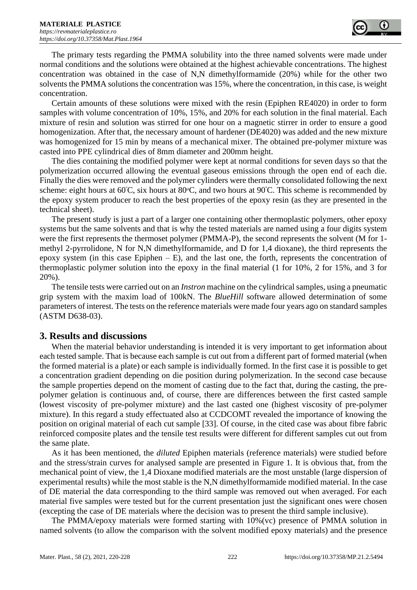The primary tests regarding the PMMA solubility into the three named solvents were made under normal conditions and the solutions were obtained at the highest achievable concentrations. The highest concentration was obtained in the case of N,N dimethylformamide (20%) while for the other two solvents the PMMA solutions the concentration was 15%, where the concentration, in this case, is weight concentration.

Certain amounts of these solutions were mixed with the resin (Epiphen RE4020) in order to form samples with volume concentration of 10%, 15%, and 20% for each solution in the final material. Each mixture of resin and solution was stirred for one hour on a magnetic stirrer in order to ensure a good homogenization. After that, the necessary amount of hardener (DE4020) was added and the new mixture was homogenized for 15 min by means of a mechanical mixer. The obtained pre-polymer mixture was casted into PPE cylindrical dies of 8mm diameter and 200mm height.

The dies containing the modified polymer were kept at normal conditions for seven days so that the polymerization occurred allowing the eventual gaseous emissions through the open end of each die. Finally the dies were removed and the polymer cylinders were thermally consolidated following the next scheme: eight hours at  $60^{\circ}$ C, six hours at  $80^{\circ}$ C, and two hours at  $90^{\circ}$ C. This scheme is recommended by the epoxy system producer to reach the best properties of the epoxy resin (as they are presented in the technical sheet).

The present study is just a part of a larger one containing other thermoplastic polymers, other epoxy systems but the same solvents and that is why the tested materials are named using a four digits system were the first represents the thermoset polymer (PMMA-P), the second represents the solvent (M for 1 methyl 2-pyrrolidone, N for N,N dimethylformamide, and D for 1,4 dioxane), the third represents the epoxy system (in this case Epiphen  $-$  E), and the last one, the forth, represents the concentration of thermoplastic polymer solution into the epoxy in the final material (1 for 10%, 2 for 15%, and 3 for 20%).

The tensile tests were carried out on an *Instron* machine on the cylindrical samples, using a pneumatic grip system with the maxim load of 100kN. The *BlueHill* software allowed determination of some parameters of interest. The tests on the reference materials were made four years ago on standard samples (ASTM D638-03).

# **3. Results and discussions**

When the material behavior understanding is intended it is very important to get information about each tested sample. That is because each sample is cut out from a different part of formed material (when the formed material is a plate) or each sample is individually formed. In the first case it is possible to get a concentration gradient depending on die position during polymerization. In the second case because the sample properties depend on the moment of casting due to the fact that, during the casting, the prepolymer gelation is continuous and, of course, there are differences between the first casted sample (lowest viscosity of pre-polymer mixture) and the last casted one (highest viscosity of pre-polymer mixture). In this regard a study effectuated also at CCDCOMT revealed the importance of knowing the position on original material of each cut sample [33]. Of course, in the cited case was about fibre fabric reinforced composite plates and the tensile test results were different for different samples cut out from the same plate.

As it has been mentioned, the *diluted* Epiphen materials (reference materials) were studied before and the stress/strain curves for analysed sample are presented in Figure 1. It is obvious that, from the mechanical point of view, the 1,4 Dioxane modified materials are the most unstable (large dispersion of experimental results) while the most stable is the N,N dimethylformamide modified material. In the case of DE material the data corresponding to the third sample was removed out when averaged. For each material five samples were tested but for the current presentation just the significant ones were chosen (excepting the case of DE materials where the decision was to present the third sample inclusive).

The PMMA/epoxy materials were formed starting with 10%(vc) presence of PMMA solution in named solvents (to allow the comparison with the solvent modified epoxy materials) and the presence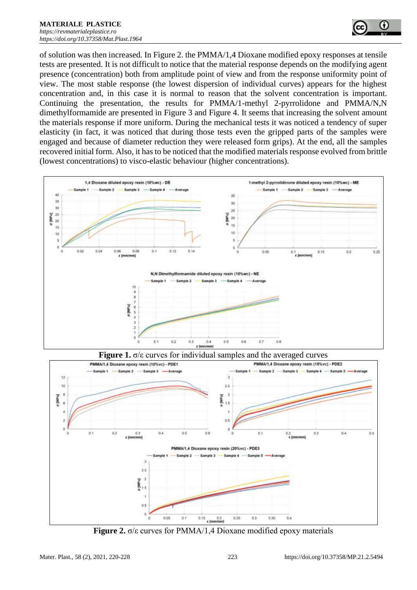

of solution was then increased. In Figure 2. the PMMA/1,4 Dioxane modified epoxy responses at tensile tests are presented. It is not difficult to notice that the material response depends on the modifying agent presence (concentration) both from amplitude point of view and from the response uniformity point of view. The most stable response (the lowest dispersion of individual curves) appears for the highest concentration and, in this case it is normal to reason that the solvent concentration is important. Continuing the presentation, the results for PMMA/1-methyl 2-pyrrolidone and PMMA/N,N dimethylformamide are presented in Figure 3 and Figure 4. It seems that increasing the solvent amount the materials response if more uniform. During the mechanical tests it was noticed a tendency of super elasticity (in fact, it was noticed that during those tests even the gripped parts of the samples were engaged and because of diameter reduction they were released form grips). At the end, all the samples recovered initial form. Also, it has to be noticed that the modified materials response evolved from brittle (lowest concentrations) to visco-elastic behaviour (higher concentrations).







**Figure 2.** σ/ε curves for PMMA/1,4 Dioxane modified epoxy materials

 $12$ 

10

p [MPa]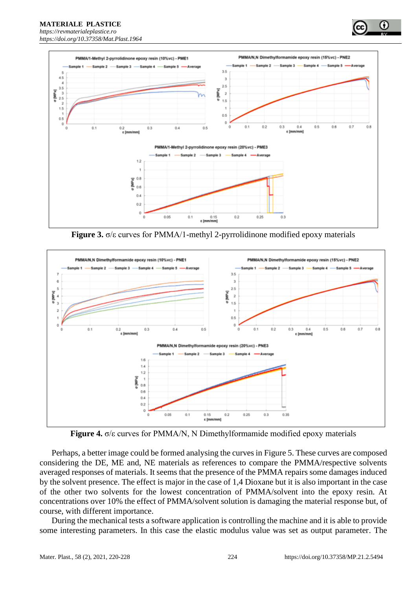**MATERIALE PLASTICE**  *[https://revmaterialeplastice.ro](https://revmaterialeplastice.ro/) https://doi.org/10.37358/Mat.Plast.1964*



**Figure 3.** σ/ε curves for PMMA/1-methyl 2-pyrrolidinone modified epoxy materials



**Figure 4.** σ/ε curves for PMMA/N, N Dimethylformamide modified epoxy materials

Perhaps, a better image could be formed analysing the curves in Figure 5. These curves are composed considering the DE, ME and, NE materials as references to compare the PMMA/respective solvents averaged responses of materials. It seems that the presence of the PMMA repairs some damages induced by the solvent presence. The effect is major in the case of 1,4 Dioxane but it is also important in the case of the other two solvents for the lowest concentration of PMMA/solvent into the epoxy resin. At concentrations over 10% the effect of PMMA/solvent solution is damaging the material response but, of course, with different importance.

During the mechanical tests a software application is controlling the machine and it is able to provide some interesting parameters. In this case the elastic modulus value was set as output parameter. The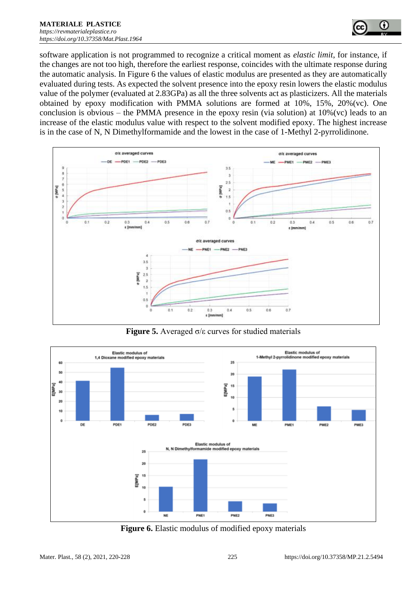

software application is not programmed to recognize a critical moment as *elastic limit*, for instance, if the changes are not too high, therefore the earliest response, coincides with the ultimate response during the automatic analysis. In Figure 6 the values of elastic modulus are presented as they are automatically evaluated during tests. As expected the solvent presence into the epoxy resin lowers the elastic modulus value of the polymer (evaluated at 2.83GPa) as all the three solvents act as plasticizers. All the materials obtained by epoxy modification with PMMA solutions are formed at 10%, 15%, 20%(vc). One conclusion is obvious – the PMMA presence in the epoxy resin (via solution) at  $10\%$  (vc) leads to an increase of the elastic modulus value with respect to the solvent modified epoxy. The highest increase is in the case of N, N Dimethylformamide and the lowest in the case of 1-Methyl 2-pyrrolidinone.



**Figure 5.** Averaged σ/ε curves for studied materials



**Figure 6.** Elastic modulus of modified epoxy materials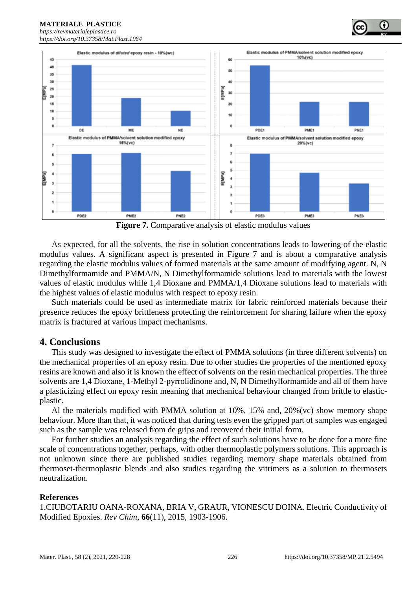*[https://revmaterialeplastice.ro](https://revmaterialeplastice.ro/) https://doi.org/10.37358/Mat.Plast.1964*

**MATERIALE PLASTICE** 



**Figure 7.** Comparative analysis of elastic modulus values

As expected, for all the solvents, the rise in solution concentrations leads to lowering of the elastic modulus values. A significant aspect is presented in Figure 7 and is about a comparative analysis regarding the elastic modulus values of formed materials at the same amount of modifying agent. N, N Dimethylformamide and PMMA/N, N Dimethylformamide solutions lead to materials with the lowest values of elastic modulus while 1,4 Dioxane and PMMA/1,4 Dioxane solutions lead to materials with the highest values of elastic modulus with respect to epoxy resin.

Such materials could be used as intermediate matrix for fabric reinforced materials because their presence reduces the epoxy brittleness protecting the reinforcement for sharing failure when the epoxy matrix is fractured at various impact mechanisms.

# **4. Conclusions**

This study was designed to investigate the effect of PMMA solutions (in three different solvents) on the mechanical properties of an epoxy resin. Due to other studies the properties of the mentioned epoxy resins are known and also it is known the effect of solvents on the resin mechanical properties. The three solvents are 1,4 Dioxane, 1-Methyl 2-pyrrolidinone and, N, N Dimethylformamide and all of them have a plasticizing effect on epoxy resin meaning that mechanical behaviour changed from brittle to elasticplastic.

Al the materials modified with PMMA solution at 10%, 15% and, 20%(vc) show memory shape behaviour. More than that, it was noticed that during tests even the gripped part of samples was engaged such as the sample was released from de grips and recovered their initial form.

For further studies an analysis regarding the effect of such solutions have to be done for a more fine scale of concentrations together, perhaps, with other thermoplastic polymers solutions. This approach is not unknown since there are published studies regarding memory shape materials obtained from thermoset-thermoplastic blends and also studies regarding the vitrimers as a solution to thermosets neutralization.

#### **References**

1.CIUBOTARIU OANA-ROXANA, BRIA V, GRAUR, VIONESCU DOINA. Electric Conductivity of Modified Epoxies. *Rev Chim*, **66**(11), 2015, 1903-1906.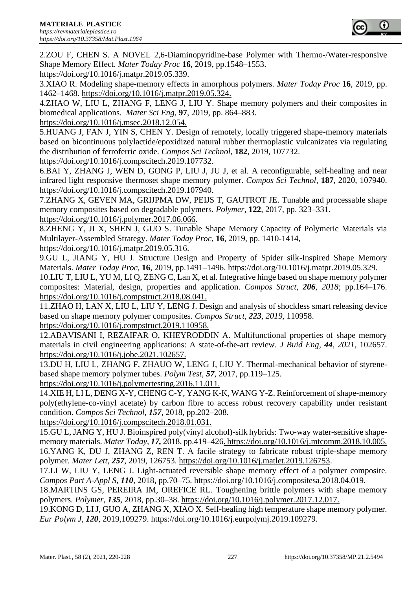

2.ZOU F, CHEN S. A NOVEL 2,6-Diaminopyridine-base Polymer with Thermo-/Water-responsive Shape Memory Effect. *Mater Today Proc* **16**, 2019, pp.1548–1553.

https://doi.org/10.1016/j.matpr.2019.05.339.

3.XIAO R. Modeling shape-memory effects in amorphous polymers. *Mater Today Proc* **16**, 2019, pp. 1462–1468. https://doi.org/10.1016/j.matpr.2019.05.324.

4.ZHAO W, LIU L, ZHANG F, LENG J, LIU Y. Shape memory polymers and their composites in biomedical applications. *Mater Sci Eng*, **97**, 2019, pp. 864–883.

https://doi.org/10.1016/j.msec.2018.12.054.

5.HUANG J, FAN J, YIN S, CHEN Y. Design of remotely, locally triggered shape-memory materials based on bicontinuous polylactide/epoxidized natural rubber thermoplastic vulcanizates via regulating the distribution of ferroferric oxide. *Compos Sci Technol,* **182**, 2019, 107732.

https://doi.org/10.1016/j.compscitech.2019.107732.

6.BAI Y, ZHANG J, WEN D, GONG P, LIU J, JU J, et al. A reconfigurable, self-healing and near infrared light responsive thermoset shape memory polymer. *Compos Sci Technol,* **187**, 2020, 107940. https://doi.org/10.1016/j.compscitech.2019.107940.

7.ZHANG X, GEVEN MA, GRIJPMA DW, PEIJS T, GAUTROT JE. Tunable and processable shape memory composites based on degradable polymers. *Polymer*, **122**, 2017, pp. 323–331. https://doi.org/10.1016/j.polymer.2017.06.066.

8.ZHENG Y, JI X, SHEN J, GUO S. Tunable Shape Memory Capacity of Polymeric Materials via Multilayer-Assembled Strategy. *Mater Today Proc*, **16**, 2019, pp. 1410-1414,

https://doi.org/10.1016/j.matpr.2019.05.316.

9.GU L, JIANG Y, HU J. Structure Design and Property of Spider silk-Inspired Shape Memory Materials. *Mater Today Proc,* **16**, 2019, pp.1491–1496. https://doi.org/10.1016/j.matpr.2019.05.329.

10.LIU T, LIU L, YU M, LI Q, ZENG C, Lan X, et al. Integrative hinge based on shape memory polymer composites: Material, design, properties and application. *Compos Struct, 206, 2018*; pp.164–176. https://doi.org/10.1016/j.compstruct.2018.08.041.

11.ZHAO H, LAN X, LIU L, LIU Y, LENG J. Design and analysis of shockless smart releasing device based on shape memory polymer composites. *Compos Struct, 223, 2019,* 110958. https://doi.org/10.1016/j.compstruct.2019.110958.

12.ABAVISANI I, REZAIFAR O, KHEYRODDIN A. Multifunctional properties of shape memory materials in civil engineering applications: A state-of-the-art review. *J Buid Eng, 44, 2021*, 102657. https://doi.org/10.1016/j.jobe.2021.102657.

13.DU H, LIU L, ZHANG F, ZHAUO W, LENG J, LIU Y. Thermal-mechanical behavior of styrenebased shape memory polymer tubes. *Polym Test, 57,* 2017, pp.119–125.

https://doi.org/10.1016/j.polymertesting.2016.11.011.

14.XIE H, LI L, DENG X-Y, CHENG C-Y, YANG K-K, WANG Y-Z. Reinforcement of shape-memory poly(ethylene-co-vinyl acetate) by carbon fibre to access robust recovery capability under resistant condition. *Compos Sci Technol, 157,* 2018, pp.202–208.

https://doi.org/10.1016/j.compscitech.2018.01.031.

15.GU L, JANG Y, HU J. Bioinspired poly(vinyl alcohol)-silk hybrids: Two-way water-sensitive shapememory materials. *Mater Today, 17,* 2018, pp.419–426. https://doi.org/10.1016/j.mtcomm.2018.10.005. 16.YANG K, DU J, ZHANG Z, REN T. A facile strategy to fabricate robust triple-shape memory polymer. *Mater Lett, 257,* 2019, 126753. https://doi.org/10.1016/j.matlet.2019.126753.

17.LI W, LIU Y, LENG J. Light-actuated reversible shape memory effect of a polymer composite. *Compos Part A-Appl S, 110,* 2018, pp.70–75. https://doi.org/10.1016/j.compositesa.2018.04.019.

18.MARTINS GS, PEREIRA IM, OREFICE RL. Toughening brittle polymers with shape memory polymers. *Polymer, 135,* 2018, pp.30–38. https://doi.org/10.1016/j.polymer.2017.12.017.

19.KONG D, LI J, GUO A, ZHANG X, XIAO X. Self-healing high temperature shape memory polymer. *Eur Polym J, 120,* 2019,109279. https://doi.org/10.1016/j.eurpolymj.2019.109279.